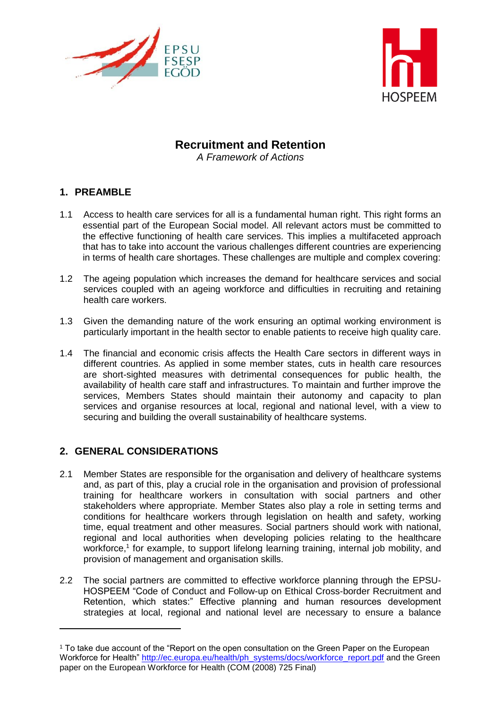



# **Recruitment and Retention**

*A Framework of Actions*

# **1. PREAMBLE**

- 1.1 Access to health care services for all is a fundamental human right. This right forms an essential part of the European Social model. All relevant actors must be committed to the effective functioning of health care services. This implies a multifaceted approach that has to take into account the various challenges different countries are experiencing in terms of health care shortages. These challenges are multiple and complex covering:
- 1.2 The ageing population which increases the demand for healthcare services and social services coupled with an ageing workforce and difficulties in recruiting and retaining health care workers.
- 1.3 Given the demanding nature of the work ensuring an optimal working environment is particularly important in the health sector to enable patients to receive high quality care.
- 1.4 The financial and economic crisis affects the Health Care sectors in different ways in different countries. As applied in some member states, cuts in health care resources are short-sighted measures with detrimental consequences for public health, the availability of health care staff and infrastructures. To maintain and further improve the services, Members States should maintain their autonomy and capacity to plan services and organise resources at local, regional and national level, with a view to securing and building the overall sustainability of healthcare systems.

# **2. GENERAL CONSIDERATIONS**

 $\overline{a}$ 

- 2.1 Member States are responsible for the organisation and delivery of healthcare systems and, as part of this, play a crucial role in the organisation and provision of professional training for healthcare workers in consultation with social partners and other stakeholders where appropriate. Member States also play a role in setting terms and conditions for healthcare workers through legislation on health and safety, working time, equal treatment and other measures. Social partners should work with national, regional and local authorities when developing policies relating to the healthcare workforce,<sup>1</sup> for example, to support lifelong learning training, internal job mobility, and provision of management and organisation skills.
- 2.2 The social partners are committed to effective workforce planning through the EPSU-HOSPEEM "Code of Conduct and Follow-up on Ethical Cross-border Recruitment and Retention, which states:" Effective planning and human resources development strategies at local, regional and national level are necessary to ensure a balance

<sup>&</sup>lt;sup>1</sup> To take due account of the "Report on the open consultation on the Green Paper on the European Workforce for Health" [http://ec.europa.eu/health/ph\\_systems/docs/workforce\\_report.pdf](http://ec.europa.eu/health/ph_systems/docs/workforce_report.pdf) and the Green paper on the European Workforce for Health (COM (2008) 725 Final)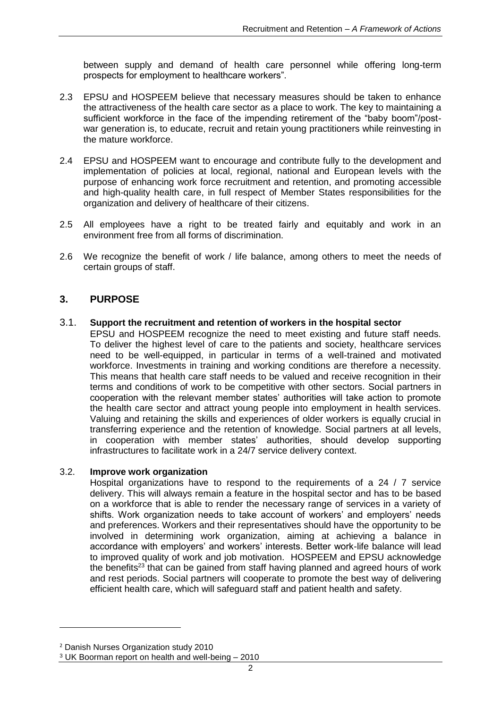between supply and demand of health care personnel while offering long-term prospects for employment to healthcare workers".

- 2.3 EPSU and HOSPEEM believe that necessary measures should be taken to enhance the attractiveness of the health care sector as a place to work. The key to maintaining a sufficient workforce in the face of the impending retirement of the "baby boom"/postwar generation is, to educate, recruit and retain young practitioners while reinvesting in the mature workforce.
- 2.4 EPSU and HOSPEEM want to encourage and contribute fully to the development and implementation of policies at local, regional, national and European levels with the purpose of enhancing work force recruitment and retention, and promoting accessible and high-quality health care, in full respect of Member States responsibilities for the organization and delivery of healthcare of their citizens.
- 2.5 All employees have a right to be treated fairly and equitably and work in an environment free from all forms of discrimination.
- 2.6 We recognize the benefit of work / life balance, among others to meet the needs of certain groups of staff.

# **3. PURPOSE**

### 3.1. **Support the recruitment and retention of workers in the hospital sector**

EPSU and HOSPEEM recognize the need to meet existing and future staff needs. To deliver the highest level of care to the patients and society, healthcare services need to be well-equipped, in particular in terms of a well-trained and motivated workforce. Investments in training and working conditions are therefore a necessity. This means that health care staff needs to be valued and receive recognition in their terms and conditions of work to be competitive with other sectors. Social partners in cooperation with the relevant member states' authorities will take action to promote the health care sector and attract young people into employment in health services. Valuing and retaining the skills and experiences of older workers is equally crucial in transferring experience and the retention of knowledge. Social partners at all levels, in cooperation with member states' authorities, should develop supporting infrastructures to facilitate work in a 24/7 service delivery context.

### 3.2. **Improve work organization**

Hospital organizations have to respond to the requirements of a 24 / 7 service delivery. This will always remain a feature in the hospital sector and has to be based on a workforce that is able to render the necessary range of services in a variety of shifts. Work organization needs to take account of workers' and employers' needs and preferences. Workers and their representatives should have the opportunity to be involved in determining work organization, aiming at achieving a balance in accordance with employers' and workers' interests. Better work-life balance will lead to improved quality of work and job motivation. HOSPEEM and EPSU acknowledge the benefits<sup>23</sup> that can be gained from staff having planned and agreed hours of work and rest periods. Social partners will cooperate to promote the best way of delivering efficient health care, which will safeguard staff and patient health and safety.

 $\overline{\phantom{a}}$ 

<sup>2</sup> Danish Nurses Organization study 2010

<sup>3</sup> UK Boorman report on health and well-being – 2010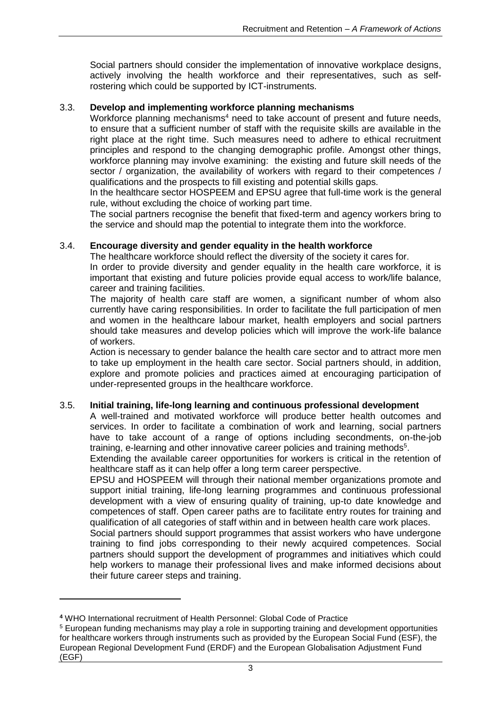Social partners should consider the implementation of innovative workplace designs, actively involving the health workforce and their representatives, such as selfrostering which could be supported by ICT-instruments.

### 3.3. **Develop and implementing workforce planning mechanisms**

Workforce planning mechanisms<sup>4</sup> need to take account of present and future needs, to ensure that a sufficient number of staff with the requisite skills are available in the right place at the right time. Such measures need to adhere to ethical recruitment principles and respond to the changing demographic profile. Amongst other things, workforce planning may involve examining: the existing and future skill needs of the sector / organization, the availability of workers with regard to their competences / qualifications and the prospects to fill existing and potential skills gaps.

In the healthcare sector HOSPEEM and EPSU agree that full-time work is the general rule, without excluding the choice of working part time.

The social partners recognise the benefit that fixed-term and agency workers bring to the service and should map the potential to integrate them into the workforce.

### 3.4. **Encourage diversity and gender equality in the health workforce**

The healthcare workforce should reflect the diversity of the society it cares for.

In order to provide diversity and gender equality in the health care workforce, it is important that existing and future policies provide equal access to work/life balance, career and training facilities.

The majority of health care staff are women, a significant number of whom also currently have caring responsibilities. In order to facilitate the full participation of men and women in the healthcare labour market, health employers and social partners should take measures and develop policies which will improve the work-life balance of workers.

Action is necessary to gender balance the health care sector and to attract more men to take up employment in the health care sector. Social partners should, in addition, explore and promote policies and practices aimed at encouraging participation of under-represented groups in the healthcare workforce.

### 3.5. **Initial training, life-long learning and continuous professional development**

A well-trained and motivated workforce will produce better health outcomes and services. In order to facilitate a combination of work and learning, social partners have to take account of a range of options including secondments, on-the-job training, e-learning and other innovative career policies and training methods<sup>5</sup>.

Extending the available career opportunities for workers is critical in the retention of healthcare staff as it can help offer a long term career perspective.

EPSU and HOSPEEM will through their national member organizations promote and support initial training, life-long learning programmes and continuous professional development with a view of ensuring quality of training, up-to date knowledge and competences of staff. Open career paths are to facilitate entry routes for training and qualification of all categories of staff within and in between health care work places.

Social partners should support programmes that assist workers who have undergone training to find jobs corresponding to their newly acquired competences. Social partners should support the development of programmes and initiatives which could help workers to manage their professional lives and make informed decisions about their future career steps and training.

 $\overline{a}$ 

**<sup>4</sup>** WHO International recruitment of Health Personnel: Global Code of Practice

<sup>5</sup> European funding mechanisms may play a role in supporting training and development opportunities for healthcare workers through instruments such as provided by the European Social Fund (ESF), the European Regional Development Fund (ERDF) and the European Globalisation Adjustment Fund (EGF)